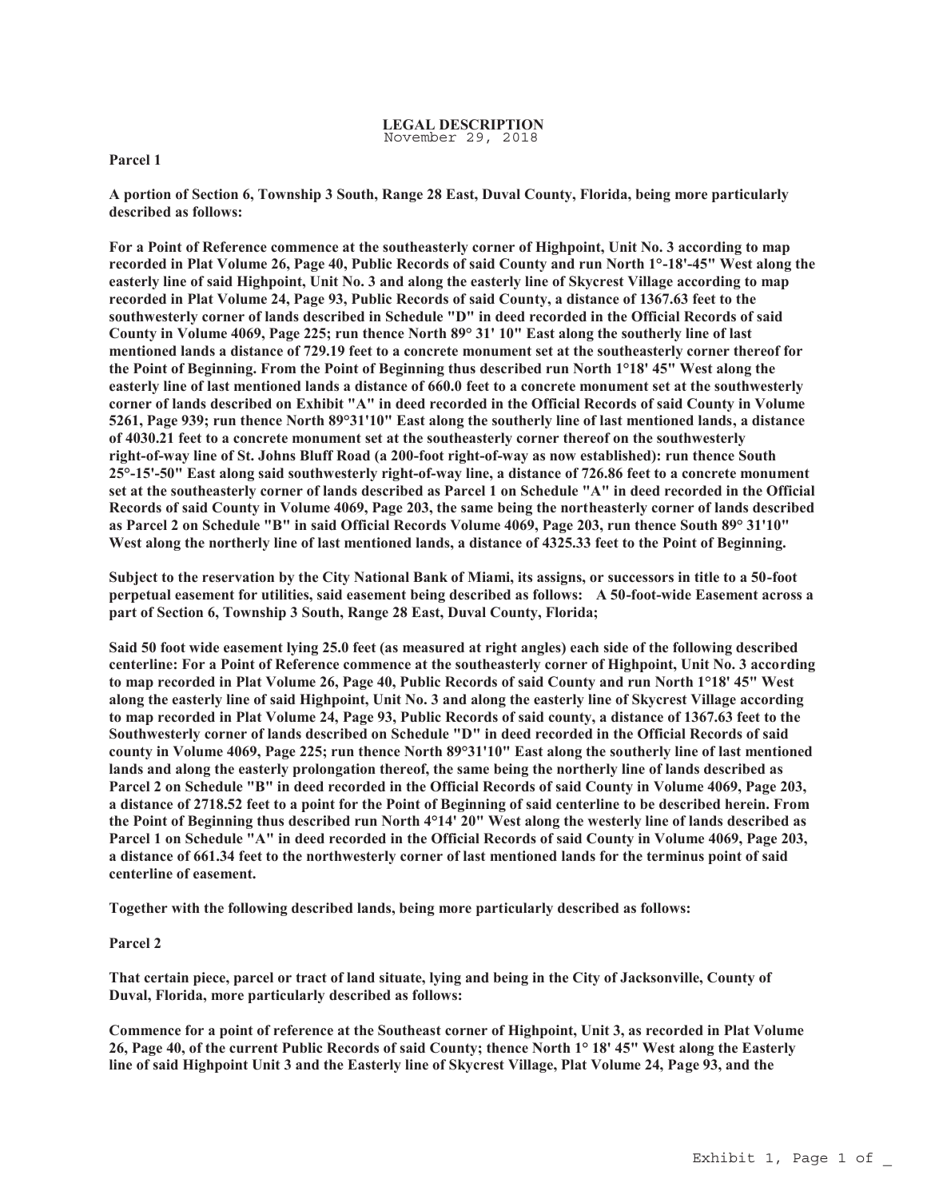## **Parcel 1**

**A portion of Section 6, Township 3 South, Range 28 East, Duval County, Florida, being more particularly described as follows:** 

**For a Point of Reference commence at the southeasterly corner of Highpoint, Unit No. 3 according to map recorded in Plat Volume 26, Page 40, Public Records of said County and run North 1°-18'-45" West along the easterly line of said Highpoint, Unit No. 3 and along the easterly line of Skycrest Village according to map recorded in Plat Volume 24, Page 93, Public Records of said County, a distance of 1367.63 feet to the southwesterly corner of lands described in Schedule "D" in deed recorded in the Official Records of said County in Volume 4069, Page 225; run thence North 89° 31' 10" East along the southerly line of last mentioned lands a distance of 729.19 feet to a concrete monument set at the southeasterly corner thereof for the Point of Beginning. From the Point of Beginning thus described run North 1°18' 45" West along the easterly line of last mentioned lands a distance of 660.0 feet to a concrete monument set at the southwesterly corner of lands described on Exhibit "A" in deed recorded in the Official Records of said County in Volume 5261, Page 939; run thence North 89°31'10" East along the southerly line of last mentioned lands, a distance of 4030.21 feet to a concrete monument set at the southeasterly corner thereof on the southwesterly right-of-way line of St. Johns Bluff Road (a 200-foot right-of-way as now established): run thence South 25°-15'-50" East along said southwesterly right-of-way line, a distance of 726.86 feet to a concrete monument set at the southeasterly corner of lands described as Parcel 1 on Schedule "A" in deed recorded in the Official Records of said County in Volume 4069, Page 203, the same being the northeasterly corner of lands described as Parcel 2 on Schedule "B" in said Official Records Volume 4069, Page 203, run thence South 89° 31'10"**  West along the northerly line of last mentioned lands, a distance of 4325.33 feet to the Point of Beginning.

**Subject to the reservation by the City National Bank of Miami, its assigns, or successors in title to a 50-foot perpetual easement for utilities, said easement being described as follows: A 50-foot-wide Easement across a part of Section 6, Township 3 South, Range 28 East, Duval County, Florida;** 

**Said 50 foot wide easement lying 25.0 feet (as measured at right angles) each side of the following described centerline: For a Point of Reference commence at the southeasterly corner of Highpoint, Unit No. 3 according to map recorded in Plat Volume 26, Page 40, Public Records of said County and run North 1°18' 45" West along the easterly line of said Highpoint, Unit No. 3 and along the easterly line of Skycrest Village according to map recorded in Plat Volume 24, Page 93, Public Records of said county, a distance of 1367.63 feet to the Southwesterly corner of lands described on Schedule "D" in deed recorded in the Official Records of said county in Volume 4069, Page 225; run thence North 89°31'10" East along the southerly line of last mentioned lands and along the easterly prolongation thereof, the same being the northerly line of lands described as Parcel 2 on Schedule "B" in deed recorded in the Official Records of said County in Volume 4069, Page 203, a distance of 2718.52 feet to a point for the Point of Beginning of said centerline to be described herein. From the Point of Beginning thus described run North 4°14' 20" West along the westerly line of lands described as Parcel 1 on Schedule "A" in deed recorded in the Official Records of said County in Volume 4069, Page 203, a distance of 661.34 feet to the northwesterly corner of last mentioned lands for the terminus point of said centerline of easement.**

**Together with the following described lands, being more particularly described as follows:** 

## **Parcel 2**

**That certain piece, parcel or tract of land situate, lying and being in the City of Jacksonville, County of Duval, Florida, more particularly described as follows:**

**Commence for a point of reference at the Southeast corner of Highpoint, Unit 3, as recorded in Plat Volume 26, Page 40, of the current Public Records of said County; thence North 1° 18' 45" West along the Easterly line of said Highpoint Unit 3 and the Easterly line of Skycrest Village, Plat Volume 24, Page 93, and the**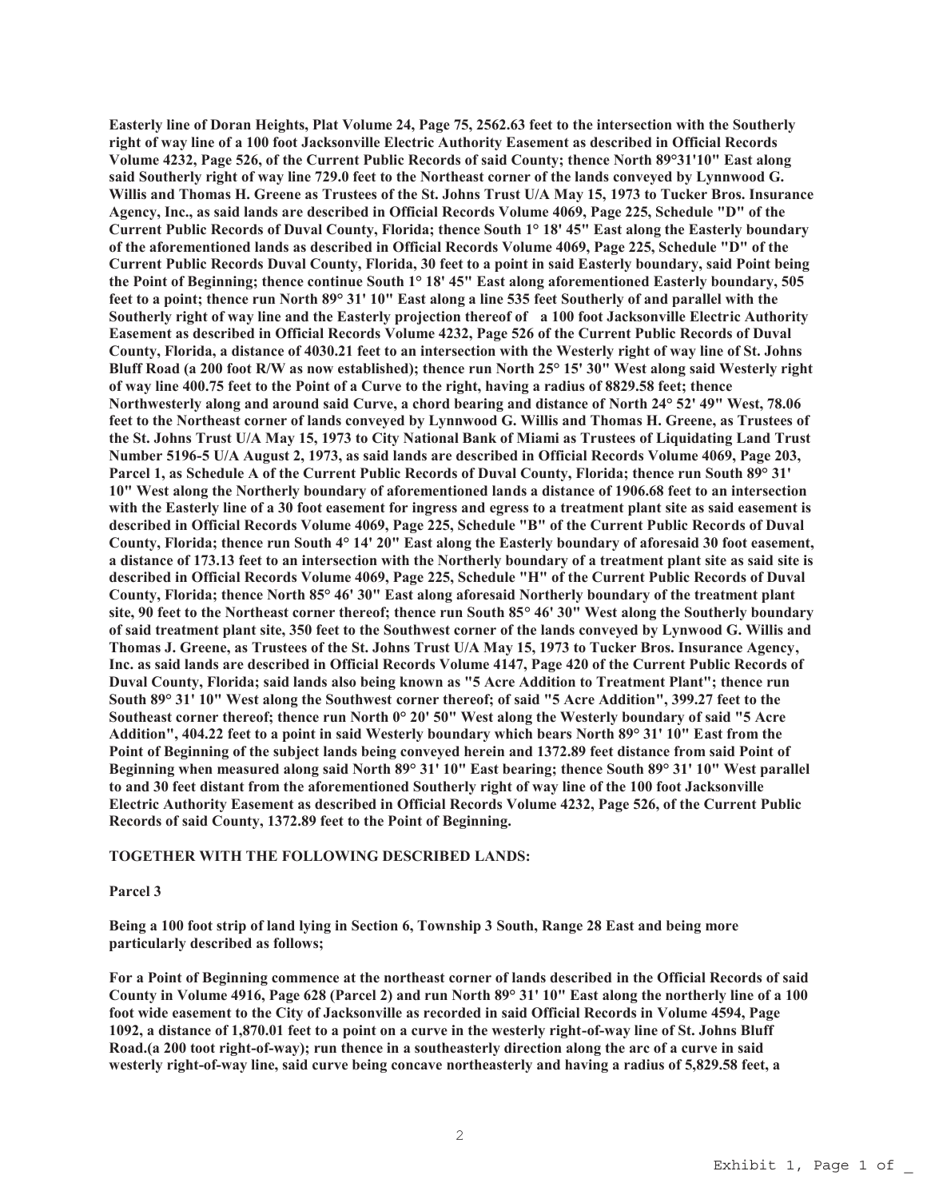**Easterly line of Doran Heights, Plat Volume 24, Page 75, 2562.63 feet to the intersection with the Southerly right of way line of a 100 foot Jacksonville Electric Authority Easement as described in Official Records Volume 4232, Page 526, of the Current Public Records of said County; thence North 89°31'10" East along said Southerly right of way line 729.0 feet to the Northeast corner of the lands conveyed by Lynnwood G. Willis and Thomas H. Greene as Trustees of the St. Johns Trust U/A May 15, 1973 to Tucker Bros. Insurance Agency, Inc., as said lands are described in Official Records Volume 4069, Page 225, Schedule "D" of the Current Public Records of Duval County, Florida; thence South 1° 18' 45" East along the Easterly boundary of the aforementioned lands as described in Official Records Volume 4069, Page 225, Schedule "D" of the Current Public Records Duval County, Florida, 30 feet to a point in said Easterly boundary, said Point being the Point of Beginning; thence continue South 1° 18' 45" East along aforementioned Easterly boundary, 505 feet to a point; thence run North 89° 31' 10" East along a line 535 feet Southerly of and parallel with the Southerly right of way line and the Easterly projection thereof of a 100 foot Jacksonville Electric Authority Easement as described in Official Records Volume 4232, Page 526 of the Current Public Records of Duval County, Florida, a distance of 4030.21 feet to an intersection with the Westerly right of way line of St. Johns Bluff Road (a 200 foot R/W as now established); thence run North 25° 15' 30" West along said Westerly right of way line 400.75 feet to the Point of a Curve to the right, having a radius of 8829.58 feet; thence Northwesterly along and around said Curve, a chord bearing and distance of North 24° 52' 49" West, 78.06 feet to the Northeast corner of lands conveyed by Lynnwood G. Willis and Thomas H. Greene, as Trustees of the St. Johns Trust U/A May 15, 1973 to City National Bank of Miami as Trustees of Liquidating Land Trust Number 5196-5 U/A August 2, 1973, as said lands are described in Official Records Volume 4069, Page 203, Parcel 1, as Schedule A of the Current Public Records of Duval County, Florida; thence run South 89° 31' 10" West along the Northerly boundary of aforementioned lands a distance of 1906.68 feet to an intersection with the Easterly line of a 30 foot easement for ingress and egress to a treatment plant site as said easement is described in Official Records Volume 4069, Page 225, Schedule "B" of the Current Public Records of Duval County, Florida; thence run South 4° 14' 20" East along the Easterly boundary of aforesaid 30 foot easement, a distance of 173.13 feet to an intersection with the Northerly boundary of a treatment plant site as said site is described in Official Records Volume 4069, Page 225, Schedule "H" of the Current Public Records of Duval County, Florida; thence North 85° 46' 30" East along aforesaid Northerly boundary of the treatment plant site, 90 feet to the Northeast corner thereof; thence run South 85° 46' 30" West along the Southerly boundary of said treatment plant site, 350 feet to the Southwest corner of the lands conveyed by Lynwood G. Willis and Thomas J. Greene, as Trustees of the St. Johns Trust U/A May 15, 1973 to Tucker Bros. Insurance Agency, Inc. as said lands are described in Official Records Volume 4147, Page 420 of the Current Public Records of Duval County, Florida; said lands also being known as "5 Acre Addition to Treatment Plant"; thence run South 89° 31' 10" West along the Southwest corner thereof; of said "5 Acre Addition", 399.27 feet to the Southeast corner thereof; thence run North 0° 20' 50" West along the Westerly boundary of said "5 Acre Addition", 404.22 feet to a point in said Westerly boundary which bears North 89° 31' 10" East from the Point of Beginning of the subject lands being conveyed herein and 1372.89 feet distance from said Point of Beginning when measured along said North 89° 31' 10" East bearing; thence South 89° 31' 10" West parallel to and 30 feet distant from the aforementioned Southerly right of way line of the 100 foot Jacksonville Electric Authority Easement as described in Official Records Volume 4232, Page 526, of the Current Public Records of said County, 1372.89 feet to the Point of Beginning.**

## **TOGETHER WITH THE FOLLOWING DESCRIBED LANDS:**

## **Parcel 3**

**Being a 100 foot strip of land lying in Section 6, Township 3 South, Range 28 East and being more particularly described as follows;**

**For a Point of Beginning commence at the northeast corner of lands described in the Official Records of said County in Volume 4916, Page 628 (Parcel 2) and run North 89° 31' 10" East along the northerly line of a 100 foot wide easement to the City of Jacksonville as recorded in said Official Records in Volume 4594, Page 1092, a distance of 1,870.01 feet to a point on a curve in the westerly right-of-way line of St. Johns Bluff Road.(a 200 toot right-of-way); run thence in a southeasterly direction along the arc of a curve in said westerly right-of-way line, said curve being concave northeasterly and having a radius of 5,829.58 feet, a**